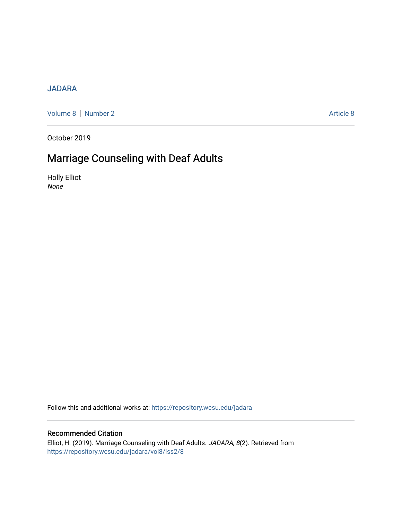## [JADARA](https://repository.wcsu.edu/jadara)

[Volume 8](https://repository.wcsu.edu/jadara/vol8) | [Number 2](https://repository.wcsu.edu/jadara/vol8/iss2) Article 8

October 2019

# Marriage Counseling with Deaf Adults

Holly Elliot None

Follow this and additional works at: [https://repository.wcsu.edu/jadara](https://repository.wcsu.edu/jadara?utm_source=repository.wcsu.edu%2Fjadara%2Fvol8%2Fiss2%2F8&utm_medium=PDF&utm_campaign=PDFCoverPages)

### Recommended Citation

Elliot, H. (2019). Marriage Counseling with Deaf Adults. JADARA, 8(2). Retrieved from [https://repository.wcsu.edu/jadara/vol8/iss2/8](https://repository.wcsu.edu/jadara/vol8/iss2/8?utm_source=repository.wcsu.edu%2Fjadara%2Fvol8%2Fiss2%2F8&utm_medium=PDF&utm_campaign=PDFCoverPages)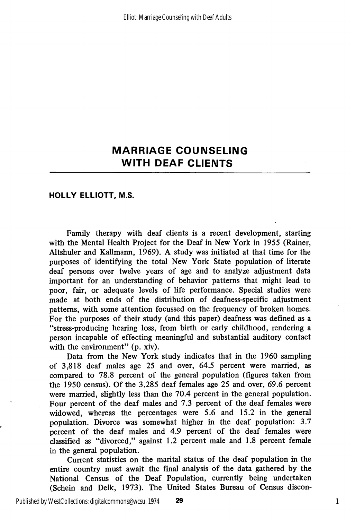#### HOLLY ELLIOTT, M.S.

Family therapy with deaf clients is a recent development, starting with the Mental Health Project for the Deaf in New York in 1955 (Rainer, Altshuler and Kallmann, 1969). A study was initiated at that time for the purposes of identifying the total New York State population of literate deaf persons over twelve years of age and to analyze adjustment data important for an understanding of behavior patterns that might lead to poor, fair, or adequate levels of life performance. Special studies were made at both ends of the distribution of deafness-specific adjustment patterns, with some attention focussed on the frequency of broken homes. For the purposes of their study (and this paper) deafness was defined as a "stress-producing hearing loss, from birth or early childhood, rendering a person incapable of effecting meaningful and substantial auditory contact with the environment" (p. xiv).

Data from the New York study indicates that in the 1960 sampling of 3,818 deaf males age 25 and over, 64.5 percent were married, as compared to 78.8 percent of the general population (figures taken from the 1950 census). Of the 3,285 deaf females age 25 and over, 69.6 percent were married, slightly less than the 70.4 percent in the general population. Four percent of the deaf males and 7.3 percent of the deaf females were widowed, whereas the percentages were 5.6 and 15.2 in the general population. Divorce was somewhat higher in the deaf population: 3.7 percent of the deaf males and 4.9 percent of the deaf females were classified as "divorced," against 1.2 percent male and 1.8 percent female in the general population.

Current statistics on the marital status of the deaf population in the entire country must await the final analysis of the data gathered by the National Census of the Deaf Population, currently being undertaken (Schein and Delk, 1973). The United States Bureau of Census discon-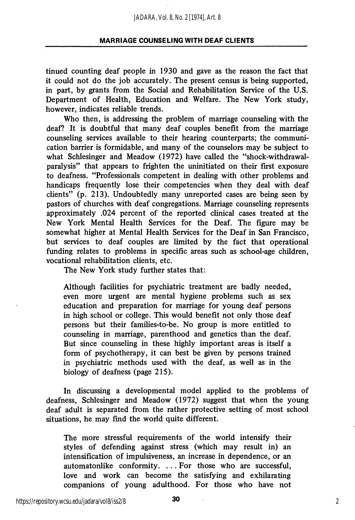tinued counting deaf people in 1930 and gave as the reason the fact that it could not do the job accurately. The present census is being supported, in part, by grants from the Social and Rehabilitation Service of the U.S. Department of Health, Education and Welfare. The New York study, however, indicates reliable trends.

Who then, is addressing the problem of marriage counseling with the deaf? It is doubtful that many deaf couples benefit from the marriage counseling services available to their hearing counterparts; the communi cation barrier is formidable, and many of the counselors may be subject to what Schlesinger and Meadow (1972) have called the "shock-withdrawalparalysis" that appears to frighten the uninitiated on their first exposure to deafness. "Professionals competent in dealing with other problems and handicaps frequently lose their competencies when they deal with deaf clients" (p. 213). Undoubtedly many unreported cases are being seen by pastors of churches with deaf congregations. Marriage counseling represents approximately .024 percent of the reported clinical cases treated at the New York Mental Health Services for the Deaf. The figure may be somewhat higher at Mental Health Services for the Deaf in San Francisco, but services to deaf couples are limited by the fact that operational funding relates to problems in specific areas such as school-age children, vocational rehabilitation clients, etc.

The New York study further states that:

Although facilities for psychiatric treatment are badly needed, even more urgent are mental hygiene problems such as sex education and preparation for marriage for young deaf persons in high school or college. This would benefit not only those deaf persons but their families-to-be. No group is more entitled to counseling in marriage, parenthood and genetics than the deaf. But since counseling in these highly important areas is itself a form of psychotherapy, it can best be given by persons trained in psychiatric methods used with the deaf, as well as in the biology of deafness (page 215).

In discussing a developmental model apphed to the problems of deafness, Schlesinger and Meadow (1972) suggest that when the young deaf adult is separated from the rather protective setting of most school situations, he may find the world quite different.

The more stressful requirements of the world intensify their styles of defending against stress (which may result in) an intensification of impulsiveness, an increase in dependence, or an automatonlike conformity. ... For those who are successful, love and work can become the satisfying and exhilarating companions of young adulthood. For those who have not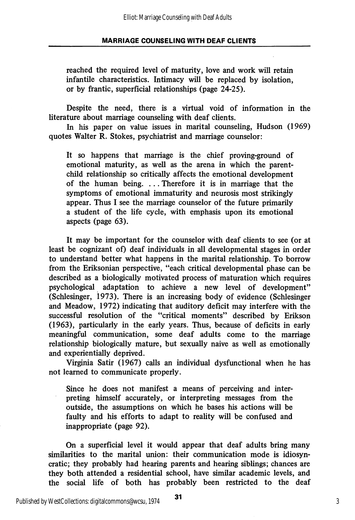reached the required level of maturity, love and work will retain infantile characteristics. Intimacy will be replaced by isolation, or by frantic, superficial relationships (page 24-25).

Despite the need, there is a virtual void of information in the literature about marriage counseling with deaf clients.

In his paper on value issues in marital counseling, Hudson (1969) quotes Walter R. Stokes, psychiatrist and marriage counselor:

It so happens that marriage is the chief proving-ground of emotional maturity, as well as the arena in which the parentchild relationship so critically affects the emotional development of the human being. ... Therefore it is in marriage that the symptoms of emotional immaturity and neurosis most strikingly appear. Thus I see the marriage counselor of the future primarily a student of the life cycle, with emphasis upon its emotional aspects (page 63).

It may be important for the counselor with deaf clients to see (or at least be cognizant of) deaf individuals in all developmental stages in order to understand better what happens in the marital relationship. To borrow from the Eriksonian perspective, "each critical developmental phase can be described as a biologically motivated process of maturation which requires psychological adaptation to achieve a new level of development" (Schlesinger, 1973). There is an increasing body of evidence (Schlesinger and Meadow, 1972) indicating that auditory deficit may interfere with the successful resolution of the "critical moments" described by Erikson (1963), particularly in the early years. Thus, because of deficits in early meaningful communication, some deaf adults come to the marriage relationship biologically mature, but sexually naive as well as emotionally and experientially deprived.

Virginia Satir (1967) calls an individual dysfunctional when he has not learned to communicate properly.

Since he does not manifest a means of perceiving and inter preting himself accurately, or interpreting messages from the outside, the assumptions on which he bases his actions will be faulty and his efforts to adapt to reality will be confused and inappropriate (page 92).

On a superficial level it would appear that deaf adults bring many similarities to the marital union: their communication mode is idiosyncratic; they probably had hearing parents and hearing siblings; chances are they both attended a residential school, have similar academic levels, and the social life of both has probably been restricted to the deaf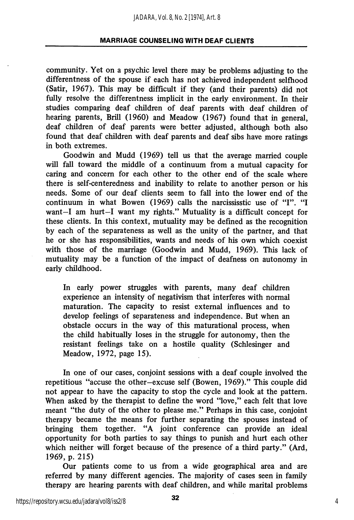community. Yet on a psychic level there may be problems adjusting to the differentness of the spouse if each has not achieved independent selfhood (Satir, 1967). This may be difficult if they (and their parents) did not fully resolve the differentness implicit in the early environment. In their studies comparing deaf children of deaf parents with deaf children of hearing parents, Brill (1960) and Meadow (1967) found that in general, deaf children of deaf parents were better adjusted, although both also found that deaf children with deaf parents and deaf sibs have more ratings in both extremes.

Goodwin and Mudd (1969) tell us that the average married couple will fall toward the middle of a continuum from a mutual capacity for caring and concern for each other to the other end of the scale where there is self-centeredness and inability to relate to another person or his needs. Some of our deaf clients seem to fall into the lower end of the continuum in what Bowen (1969) calls the narcississtic use of "I". "I want—I am hurt—I want my rights." Mutuality is a difficult concept for these clients. In this context, mutuality may be defined as the recognition by each of the separateness as well as the unity of the partner, and that he or she has responsibilities, wants and needs of his own which coexist with those of the marriage (Goodwin and Mudd, 1969). This lack of mutuality may be a function of the impact of deafness on autonomy in early childhood.

In early power struggles with parents, many deaf children experience an intensity of negativism that interferes with normal maturation. The capacity to resist external influences and to develop feelings of separateness and independence. But when an obstacle occurs in the way of this maturational process, when the child habitually loses in the struggle for autonomy, then the resistant feelings take on a hostile quality (Schlesinger and Meadow, 1972, page 15).

In one of our cases, conjoint sessions with a deaf couple involved the repetitious "accuse the other—excuse self (Bowen, 1969)." This couple did not appear to have the capacity to stop the cycle and look at the pattern. When asked by the therapist to define the word "love," each felt that love meant "the duty of the other to please me." Perhaps in this case, conjoint therapy became the means for further separating the spouses instead of bringing them together. "A joint conference can provide an ideal opportunity for both parties to say things to punish and hurt each other which neither will forget because of the presence of a third party." (Ard, 1969, p. 215)

Our patients come to us from a wide geographical area and are referred by many different agencies. The majority of cases seen in family therapy are hearing parents with deaf children, and while marital problems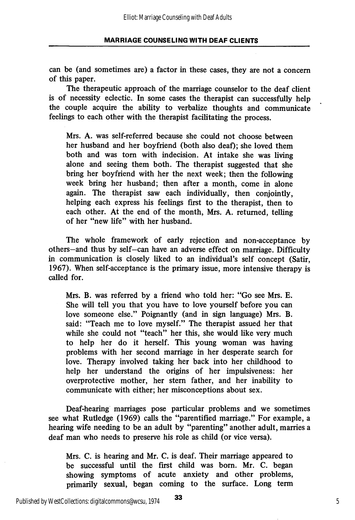can be (and sometimes are) a factor in these cases, they are not a concern of this paper.

The therapeutic approach of the marriage counselor to the deaf client is of necessity eclectic. In some cases the therapist can successfully help the couple acquire the ability to verbalize thoughts and communicate feelings to each other with the therapist facilitating the process.

Mrs. A. was self-referred because she could not choose between her husband and her boyfriend (both also deaf); she loved them both and was torn with indecision. At intake she was living alone and seeing them both. The therapist suggested that she bring her boyfriend with her the next week; then the following week bring her husband; then after a month, come in alone again. The therapist saw each individually, then conjointly, helping each express his feelings first to the therapist, then to each other. At the end of the month, Mrs. A. returned, telling of her "new life" with her husband.

The whole framework of early rejection and non-acceptance by others—and thus by self—can have an adverse effect on marriage. Difficulty in communication is closely liked to an individual's self concept (Satir, 1967). When self-acceptance is the primary issue, more intensive therapy is called for.

Mrs. B. was referred by a friend who told her; "Go see Mrs. E. She will tell you that you have to love yourself before you can love someone else." Poignantly (and in sign language) Mrs. B. said: "Teach me to love myself." The therapist assued her that while she could not "teach" her this, she would like very much to help her do it herself. This young woman was having problems with her second marriage in her desperate search for love. Therapy involved taking her back into her childhood to help her imderstand the origins of her impulsiveness: her overprotective mother, her stem father, and her inability to communicate with either; her misconceptions about sex.

Deaf-hearing marriages pose particular problems and we sometimes see what Rutledge (1969) calls the "parentified marriage." For example, a hearing wife needing to be an adult by "parenting" another adult, marries a deaf man who needs to preserve his role as child (or vice versa).

Mrs. C. is hearing and Mr. C. is deaf. Their marriage appeared to be successful until the first child was born. Mr. C. began showing symptoms of acute anxiety and other problems, primarily sexual, began coming to the surface. Long term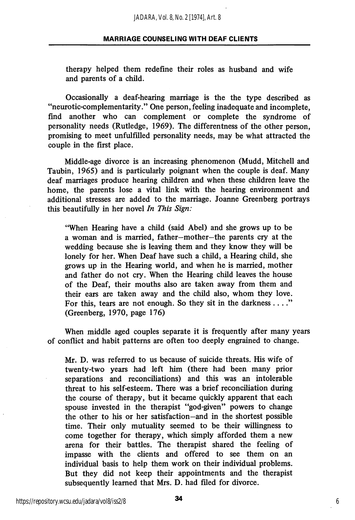therapy helped them redefine their roles as husband and wife and parents of a child.

Occasionally a deaf-hearing marriage is the the type described as "neurotic-complementarity." One person, feeling inadequate and incomplete, find another who can complement or complete the syndrome of personality needs (Rutledge, 1969). The differentness of the other person, promising to meet unfulfilled personality needs, may be what attracted the couple in the first place.

Middle-age divorce is an increasing phenomenon (Mudd, Mitchell and Taubin, 1965) and is particularly poignant when the couple is deaf. Many deaf marriages produce hearing children and when these children leave the home, the parents lose a vital link with the hearing environment and additional stresses are added to the marriage. Joanne Greenberg portrays this beautifully in her novel In This Sign:

"When Hearing have a child (said Abel) and she grows up to be a woman and is married, father—mother—the parents cry at the wedding because she is leaving them and they know they will be lonely for her. When Deaf have such a child, a Hearing child, she grows up in the Hearing world, and when he is married, mother and father do not cry. When the Hearing child leaves the house of the Deaf, their mouths also are taken away from them and their ears are taken away and the child also, whom they love. For this, tears are not enough. So they sit in the darkness ...." (Greenberg, 1970, page 176)

When middle aged couples separate it is frequently after many years of conflict and habit patterns are often too deeply engrained to change.

Mr. D. was referred to us because of suicide threats. His wife of twenty-two years had left him (there had been many prior separations and reconciliations) and this was an intolerable threat to his self-esteem. There was a brief reconciliation during the course of therapy, but it became quickly apparent that each spouse invested in the therapist "god-given" powers to change the other to his or her satisfaction—and in the shortest possible time. Their only mutuality seemed to be their willingness to come together for therapy, which simply afforded them a new arena for their battles. The therapist shared the feeling of impasse with the clients and offered to see them on an individual basis to help them work on their individual problems. But they did not keep their appointments and the therapist subsequently learned that Mrs. D. had filed for divorce.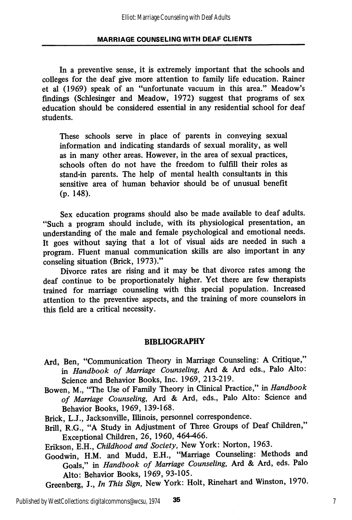In a preventive sense, it is extremely important that the schools and colleges for the deaf give more attention to family life education. Rainer et al (1969) speak of an "unfortunate vacuum in this area." Meadow's findings (Schlesinger and Meadow, 1972) suggest that programs of sex education should be considered essential in any residential school for deaf students.

These schools serve in place of parents in conveying sexual information and indicating standards of sexual morality, as well as in many other areas. However, in the area of sexual practices, schools often do not have the freedom to fulfill their roles as stand-in parents. The help of mental health consultants in this sensitive area of human behavior should be of unusual benefit (p. 148).

Sex education programs should also be made available to deaf adults. "Such a program should include, with its physiological presentation, an understanding of the male and female psychological and emotional needs. It goes without saying that a lot of visual aids are needed in such a program. Fluent manual communication skills are also important in any conseling situation (Brick, 1973)."

Divorce rates are rising and it may be that divorce rates among the deaf continue to be proportionately higher. Yet there are few therapists trained for marriage counseling with this special population. Increased attention to the preventive aspects, and the training of more counselors in this field are a critical necessity.

#### BIBLIOGRAPHY

- Ard, Ben, "Communication Theory in Marriage Counseling: A Critique," in Handbook of Marriage Counseling, Ard & Ard eds., Palo Alto: Science and Behavior Books, Inc. 1969, 213-219.
- Bowen, M., "The Use of Family Theory in Clinical Practice," in Handbook of Marriage Counseling, Ard & Ard, eds., Palo Alto: Science and Behavior Books, 1969, 139-168.
- Brick, L.J., Jacksonville, Illinois, personnel correspondence.
- Brill, R.G., "A Study in Adjustment of Three Groups of Deaf Children," Exceptional Children, 26, 1960, 464-466.

Erikson, E.H., Childhood and Society, New York: Norton, 1963.

- Goodwin, H.M. and Mudd, E.H., "Marriage Counseling: Methods and Goals," in Handbook of Marriage Counseling, Ard & Ard, eds. Palo Alto: Behavior Books, 1969, 93-105.
- Greenberg, J., In This Sign, New York: Holt, Rinehart and Winston, 1970.